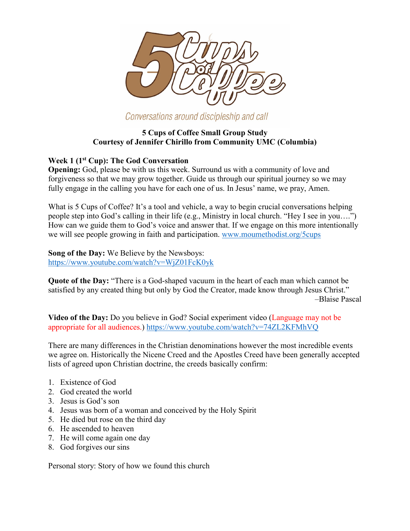

Conversations around discipleship and call

# **5 Cups of Coffee Small Group Study Courtesy of Jennifer Chirillo from Community UMC (Columbia)**

# **Week 1 (1st Cup): The God Conversation**

**Opening:** God, please be with us this week. Surround us with a community of love and forgiveness so that we may grow together. Guide us through our spiritual journey so we may fully engage in the calling you have for each one of us. In Jesus' name, we pray, Amen.

What is 5 Cups of Coffee? It's a tool and vehicle, a way to begin crucial conversations helping people step into God's calling in their life (e.g., Ministry in local church. "Hey I see in you….") How can we guide them to God's voice and answer that. If we engage on this more intentionally we will see people growing in faith and participation. [www.moumethodist.org/5cups](https://www.moumethodist.org/resourcedetail/5-cups-of-coffee-11412987)

**Song of the Day:** We Believe by the Newsboys: <https://www.youtube.com/watch?v=WjZ01FcK0yk>

**Quote of the Day:** "There is a God-shaped vacuum in the heart of each man which cannot be satisfied by any created thing but only by God the Creator, made know through Jesus Christ." –Blaise Pascal

**Video of the Day:** Do you believe in God? Social experiment video (Language may not be appropriate for all audiences.)<https://www.youtube.com/watch?v=74ZL2KFMhVQ>

There are many differences in the Christian denominations however the most incredible events we agree on. Historically the Nicene Creed and the Apostles Creed have been generally accepted lists of agreed upon Christian doctrine, the creeds basically confirm:

- 1. Existence of God
- 2. God created the world
- 3. Jesus is God's son
- 4. Jesus was born of a woman and conceived by the Holy Spirit
- 5. He died but rose on the third day
- 6. He ascended to heaven
- 7. He will come again one day
- 8. God forgives our sins

Personal story: Story of how we found this church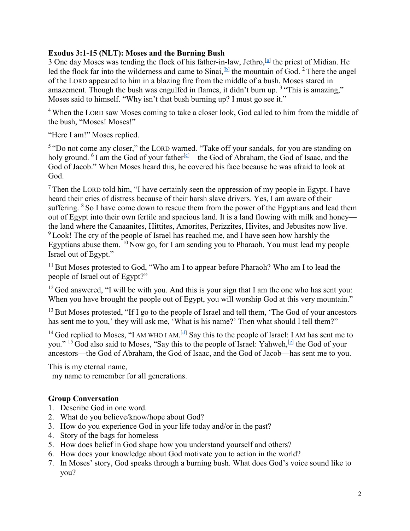## **Exodus 3:1-15 (NLT): Moses and the Burning Bush**

3 One day Moses was tending the flock of his father-in-law, Jethro,[\[a\]](https://www.biblegateway.com/passage/?search=Exodus+3%3A1-15&version=NLT#fen-NLT-1581a) the priest of Midian. He led the flock far into the wilderness and came to Sinai,  $[**b**]$  the mountain of God. <sup>2</sup> There the angel of the LORD appeared to him in a blazing fire from the middle of a bush. Moses stared in amazement. Though the bush was engulfed in flames, it didn't burn up. <sup>3</sup> "This is amazing," Moses said to himself. "Why isn't that bush burning up? I must go see it."

<sup>4</sup> When the LORD saw Moses coming to take a closer look, God called to him from the middle of the bush, "Moses! Moses!"

"Here I am!" Moses replied.

<sup>5</sup> "Do not come any closer," the LORD warned. "Take off your sandals, for you are standing on holy ground. <sup>6</sup> I am the God of your father<sup>[\[c\]](https://www.biblegateway.com/passage/?search=Exodus+3%3A1-15&version=NLT#fen-NLT-1586c)</sup>—the God of Abraham, the God of Isaac, and the God of Jacob." When Moses heard this, he covered his face because he was afraid to look at God.

 $<sup>7</sup>$  Then the LORD told him, "I have certainly seen the oppression of my people in Egypt. I have</sup> heard their cries of distress because of their harsh slave drivers. Yes, I am aware of their suffering. <sup>8</sup> So I have come down to rescue them from the power of the Egyptians and lead them out of Egypt into their own fertile and spacious land. It is a land flowing with milk and honey the land where the Canaanites, Hittites, Amorites, Perizzites, Hivites, and Jebusites now live. <sup>9</sup> Look! The cry of the people of Israel has reached me, and I have seen how harshly the Egyptians abuse them.  $\frac{10}{10}$  Now go, for I am sending you to Pharaoh. You must lead my people Israel out of Egypt."

 $11$  But Moses protested to God, "Who am I to appear before Pharaoh? Who am I to lead the people of Israel out of Egypt?"

 $12$  God answered, "I will be with you. And this is your sign that I am the one who has sent you: When you have brought the people out of Egypt, you will worship God at this very mountain."

<sup>13</sup> But Moses protested, "If I go to the people of Israel and tell them, 'The God of your ancestors has sent me to you,' they will ask me, 'What is his name?' Then what should I tell them?"

<sup>14</sup> God replied to Moses, "I AM WHO I AM.<sup>[\[d\]](https://www.biblegateway.com/passage/?search=Exodus+3%3A1-15&version=NLT#fen-NLT-1594d)</sup> Say this to the people of Israel: I AM has sent me to you." <sup>15</sup> God also said to Moses, "Say this to the people of Israel: Yahweh,[\[e\]](https://www.biblegateway.com/passage/?search=Exodus+3%3A1-15&version=NLT#fen-NLT-1595e) the God of your ancestors—the God of Abraham, the God of Isaac, and the God of Jacob—has sent me to you.

This is my eternal name,

my name to remember for all generations.

- 1. Describe God in one word.
- 2. What do you believe/know/hope about God?
- 3. How do you experience God in your life today and/or in the past?
- 4. Story of the bags for homeless
- 5. How does belief in God shape how you understand yourself and others?
- 6. How does your knowledge about God motivate you to action in the world?
- 7. In Moses' story, God speaks through a burning bush. What does God's voice sound like to you?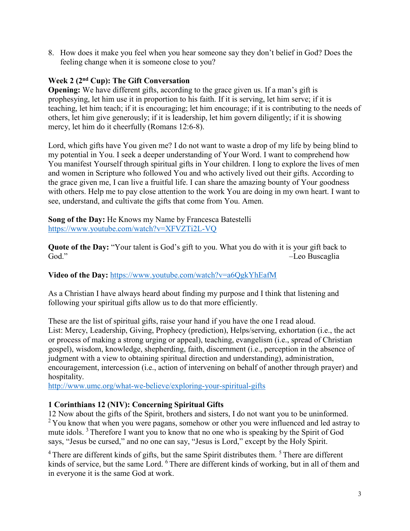8. How does it make you feel when you hear someone say they don't belief in God? Does the feeling change when it is someone close to you?

## **Week 2 (2nd Cup): The Gift Conversation**

**Opening:** We have different gifts, according to the grace given us. If a man's gift is prophesying, let him use it in proportion to his faith. If it is serving, let him serve; if it is teaching, let him teach; if it is encouraging; let him encourage; if it is contributing to the needs of others, let him give generously; if it is leadership, let him govern diligently; if it is showing mercy, let him do it cheerfully (Romans 12:6-8).

Lord, which gifts have You given me? I do not want to waste a drop of my life by being blind to my potential in You. I seek a deeper understanding of Your Word. I want to comprehend how You manifest Yourself through spiritual gifts in Your children. I long to explore the lives of men and women in Scripture who followed You and who actively lived out their gifts. According to the grace given me, I can live a fruitful life. I can share the amazing bounty of Your goodness with others. Help me to pay close attention to the work You are doing in my own heart. I want to see, understand, and cultivate the gifts that come from You. Amen.

**Song of the Day:** He Knows my Name by Francesca Batestelli <https://www.youtube.com/watch?v=XFVZTi2L-VQ>

**Quote of the Day:** "Your talent is God's gift to you. What you do with it is your gift back to God." –Leo Buscaglia

## **Video of the Day:** <https://www.youtube.com/watch?v=a6QgkYhEafM>

As a Christian I have always heard about finding my purpose and I think that listening and following your spiritual gifts allow us to do that more efficiently.

These are the list of spiritual gifts, raise your hand if you have the one I read aloud. List: Mercy, Leadership, Giving, Prophecy (prediction), Helps/serving, exhortation (i.e., the act or process of making a strong urging or appeal), teaching, evangelism (i.e., spread of Christian gospel), wisdom, knowledge, shepherding, faith, discernment (i.e., perception in the absence of judgment with a view to obtaining spiritual direction and understanding), administration, encouragement, intercession (i.e., action of intervening on behalf of another through prayer) and hospitality.

<http://www.umc.org/what-we-believe/exploring-your-spiritual-gifts>

## **1 Corinthians 12 (NIV): Concerning Spiritual Gifts**

12 Now about the gifts of the Spirit, brothers and sisters, I do not want you to be uninformed. <sup>2</sup> You know that when you were pagans, somehow or other you were influenced and led astray to mute idols.<sup>3</sup> Therefore I want you to know that no one who is speaking by the Spirit of God says, "Jesus be cursed," and no one can say, "Jesus is Lord," except by the Holy Spirit.

<sup>4</sup> There are different kinds of gifts, but the same Spirit distributes them. <sup>5</sup> There are different kinds of service, but the same Lord. <sup>6</sup> There are different kinds of working, but in all of them and in everyone it is the same God at work.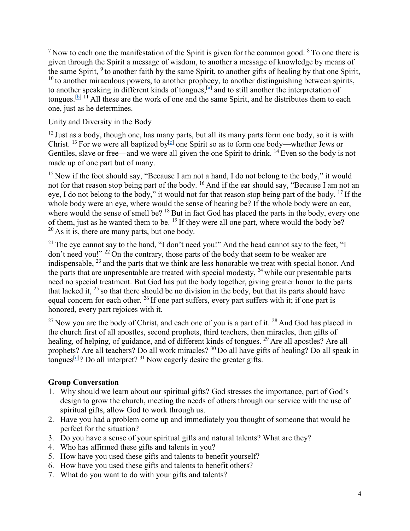$<sup>7</sup>$  Now to each one the manifestation of the Spirit is given for the common good.  $<sup>8</sup>$  To one there is</sup></sup> given through the Spirit a message of wisdom, to another a message of knowledge by means of the same Spirit, <sup>9</sup> to another faith by the same Spirit, to another gifts of healing by that one Spirit,  $10$  to another miraculous powers, to another prophecy, to another distinguishing between spirits, to another speaking in different kinds of tongues,  $[4]$  and to still another the interpretation of tongues.<sup>[\[b\]](https://www.biblegateway.com/passage/?search=1+Corinthians+12&version=NIV#fen-NIV-28645b) 11</sup> All these are the work of one and the same Spirit, and he distributes them to each one, just as he determines.

Unity and Diversity in the Body

 $12$  Just as a body, though one, has many parts, but all its many parts form one body, so it is with Christ. <sup>13</sup> For we were all baptized by<sup>[c]</sup> one Spirit so as to form one body—whether Jews or Gentiles, slave or free—and we were all given the one Spirit to drink. <sup>14</sup> Even so the body is not made up of one part but of many.

<sup>15</sup> Now if the foot should say, "Because I am not a hand, I do not belong to the body," it would not for that reason stop being part of the body. <sup>16</sup> And if the ear should say, "Because I am not an eye, I do not belong to the body," it would not for that reason stop being part of the body. <sup>17</sup> If the whole body were an eye, where would the sense of hearing be? If the whole body were an ear, where would the sense of smell be? <sup>18</sup> But in fact God has placed the parts in the body, every one of them, just as he wanted them to be. <sup>19</sup> If they were all one part, where would the body be?  $20$  As it is, there are many parts, but one body.

 $21$  The eye cannot say to the hand, "I don't need you!" And the head cannot say to the feet, "I don't need you!" <sup>22</sup> On the contrary, those parts of the body that seem to be weaker are indispensable,  $^{23}$  and the parts that we think are less honorable we treat with special honor. And the parts that are unpresentable are treated with special modesty, <sup>24</sup> while our presentable parts need no special treatment. But God has put the body together, giving greater honor to the parts that lacked it,  $^{25}$  so that there should be no division in the body, but that its parts should have equal concern for each other. <sup>26</sup> If one part suffers, every part suffers with it; if one part is honored, every part rejoices with it.

 $^{27}$  Now you are the body of Christ, and each one of you is a part of it.  $^{28}$  And God has placed in the church first of all apostles, second prophets, third teachers, then miracles, then gifts of healing, of helping, of guidance, and of different kinds of tongues. <sup>29</sup> Are all apostles? Are all prophets? Are all teachers? Do all work miracles? <sup>30</sup> Do all have gifts of healing? Do all speak in tongues<sup>[\[d\]](https://www.biblegateway.com/passage/?search=1+Corinthians+12&version=NIV#fen-NIV-28665d)</sup>? Do all interpret?  $31$  Now eagerly desire the greater gifts.

- 1. Why should we learn about our spiritual gifts? God stresses the importance, part of God's design to grow the church, meeting the needs of others through our service with the use of spiritual gifts, allow God to work through us.
- 2. Have you had a problem come up and immediately you thought of someone that would be perfect for the situation?
- 3. Do you have a sense of your spiritual gifts and natural talents? What are they?
- 4. Who has affirmed these gifts and talents in you?
- 5. How have you used these gifts and talents to benefit yourself?
- 6. How have you used these gifts and talents to benefit others?
- 7. What do you want to do with your gifts and talents?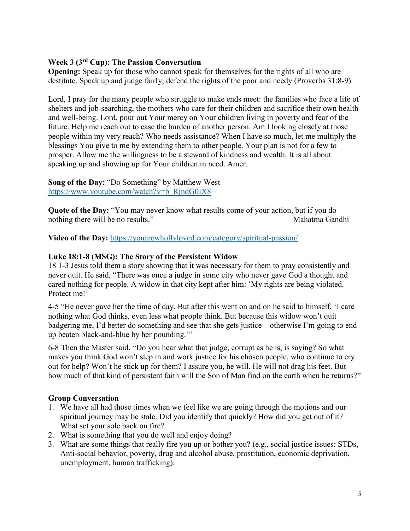## **Week 3 (3rd Cup): The Passion Conversation**

**Opening:** Speak up for those who cannot speak for themselves for the rights of all who are destitute. Speak up and judge fairly; defend the rights of the poor and needy (Proverbs 31:8-9).

Lord, I pray for the many people who struggle to make ends meet: the families who face a life of shelters and job-searching, the mothers who care for their children and sacrifice their own health and well-being. Lord, pour out Your mercy on Your children living in poverty and fear of the future. Help me reach out to ease the burden of another person. Am I looking closely at those people within my very reach? Who needs assistance? When I have so much, let me multiply the blessings You give to me by extending them to other people. Your plan is not for a few to prosper. Allow me the willingness to be a steward of kindness and wealth. It is all about speaking up and showing up for Your children in need. Amen.

**Song of the Day:** "Do Something" by Matthew West [https://www.youtube.com/watch?v=b\\_RjndG0IX8](https://www.youtube.com/watch?v=b_RjndG0IX8)

**Quote of the Day:** "You may never know what results come of your action, but if you do nothing there will be no results."

**Video of the Day:** <https://youarewhollyloved.com/category/spiritual-passion/>

#### **Luke 18:1-8 (MSG): The Story of the Persistent Widow**

18 1-3 Jesus told them a story showing that it was necessary for them to pray consistently and never quit. He said, "There was once a judge in some city who never gave God a thought and cared nothing for people. A widow in that city kept after him: 'My rights are being violated. Protect me!'

4-5 "He never gave her the time of day. But after this went on and on he said to himself, 'I care nothing what God thinks, even less what people think. But because this widow won't quit badgering me, I'd better do something and see that she gets justice—otherwise I'm going to end up beaten black-and-blue by her pounding.'"

6-8 Then the Master said, "Do you hear what that judge, corrupt as he is, is saying? So what makes you think God won't step in and work justice for his chosen people, who continue to cry out for help? Won't he stick up for them? I assure you, he will. He will not drag his feet. But how much of that kind of persistent faith will the Son of Man find on the earth when he returns?"

- 1. We have all had those times when we feel like we are going through the motions and our spiritual journey may be stale. Did you identify that quickly? How did you get out of it? What set your sole back on fire?
- 2. What is something that you do well and enjoy doing?
- 3. What are some things that really fire you up or bother you? (e.g., social justice issues: STDs, Anti-social behavior, poverty, drug and alcohol abuse, prostitution, economic deprivation, unemployment, human trafficking).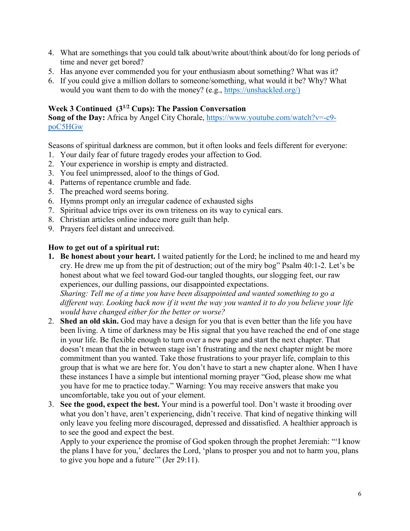- 4. What are somethings that you could talk about/write about/think about/do for long periods of time and never get bored?
- 5. Has anyone ever commended you for your enthusiasm about something? What was it?
- 6. If you could give a million dollars to someone/something, what would it be? Why? What would you want them to do with the money? (e.g., [https://unshackled.org/\)](https://unshackled.org/)

#### **Week 3 Continued (31/2 Cups): The Passion Conversation**

**Song of the Day:** Africa by Angel City Chorale, [https://www.youtube.com/watch?v=-c9](https://www.youtube.com/watch?v=-c9-poC5HGw) [poC5HGw](https://www.youtube.com/watch?v=-c9-poC5HGw)

Seasons of spiritual darkness are common, but it often looks and feels different for everyone:

- 1. Your daily fear of future tragedy erodes your affection to God.
- 2. Your experience in worship is empty and distracted.
- 3. You feel unimpressed, aloof to the things of God.
- 4. Patterns of repentance crumble and fade.
- 5. The preached word seems boring.
- 6. Hymns prompt only an irregular cadence of exhausted sighs
- 7. Spiritual advice trips over its own triteness on its way to cynical ears.
- 8. Christian articles online induce more guilt than help.
- 9. Prayers feel distant and unreceived.

#### **How to get out of a spiritual rut:**

**1. Be honest about your heart.** I waited patiently for the Lord; he inclined to me and heard my cry. He drew me up from the pit of destruction; out of the miry bog" Psalm 40:1-2. Let's be honest about what we feel toward God-our tangled thoughts, our slogging feet, our raw experiences, our dulling passions, our disappointed expectations.

*Sharing: Tell me of a time you have been disappointed and wanted something to go a different way. Looking back now if it went the way you wanted it to do you believe your life would have changed either for the better or worse?*

- 2. **Shed an old skin.** God may have a design for you that is even better than the life you have been living. A time of darkness may be His signal that you have reached the end of one stage in your life. Be flexible enough to turn over a new page and start the next chapter. That doesn't mean that the in between stage isn't frustrating and the next chapter might be more commitment than you wanted. Take those frustrations to your prayer life, complain to this group that is what we are here for. You don't have to start a new chapter alone. When I have these instances I have a simple but intentional morning prayer "God, please show me what you have for me to practice today." Warning: You may receive answers that make you uncomfortable, take you out of your element.
- 3. **See the good, expect the best.** Your mind is a powerful tool. Don't waste it brooding over what you don't have, aren't experiencing, didn't receive. That kind of negative thinking will only leave you feeling more discouraged, depressed and dissatisfied. A healthier approach is to see the good and expect the best.

Apply to your experience the promise of God spoken through the prophet Jeremiah: "'I know the plans I have for you,' declares the Lord, 'plans to prosper you and not to harm you, plans to give you hope and a future'" (Jer 29:11).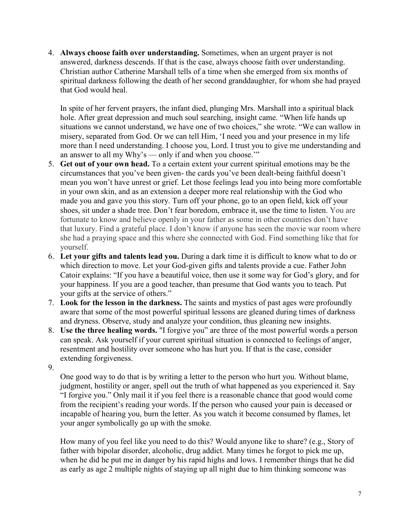4. **Always choose faith over understanding.** Sometimes, when an urgent prayer is not answered, darkness descends. If that is the case, always choose faith over understanding. Christian author Catherine Marshall tells of a time when she emerged from six months of spiritual darkness following the death of her second granddaughter, for whom she had prayed that God would heal.

In spite of her fervent prayers, the infant died, plunging Mrs. Marshall into a spiritual black hole. After great depression and much soul searching, insight came. "When life hands up situations we cannot understand, we have one of two choices," she wrote. "We can wallow in misery, separated from God. Or we can tell Him, 'I need you and your presence in my life more than I need understanding. I choose you, Lord. I trust you to give me understanding and an answer to all my Why's — only if and when you choose.'"

- 5. **Get out of your own head.** To a certain extent your current spiritual emotions may be the circumstances that you've been given- the cards you've been dealt-being faithful doesn't mean you won't have unrest or grief. Let those feelings lead you into being more comfortable in your own skin, and as an extension a deeper more real relationship with the God who made you and gave you this story. Turn off your phone, go to an open field, kick off your shoes, sit under a shade tree. Don't fear boredom, embrace it, use the time to listen. You are fortunate to know and believe openly in your father as some in other countries don't have that luxury. Find a grateful place. I don't know if anyone has seen the movie war room where she had a praying space and this where she connected with God. Find something like that for yourself.
- 6. **Let your gifts and talents lead you.** During a dark time it is difficult to know what to do or which direction to move. Let your God-given gifts and talents provide a cue. Father John Catoir explains: "If you have a beautiful voice, then use it some way for God's glory, and for your happiness. If you are a good teacher, than presume that God wants you to teach. Put your gifts at the service of others."
- 7. **Look for the lesson in the darkness.** The saints and mystics of past ages were profoundly aware that some of the most powerful spiritual lessons are gleaned during times of darkness and dryness. Observe, study and analyze your condition, thus gleaning new insights.
- 8. **Use the three healing words.** "I forgive you" are three of the most powerful words a person can speak. Ask yourself if your current spiritual situation is connected to feelings of anger, resentment and hostility over someone who has hurt you. If that is the case, consider extending forgiveness.
- 9.

One good way to do that is by writing a letter to the person who hurt you. Without blame, judgment, hostility or anger, spell out the truth of what happened as you experienced it. Say "I forgive you." Only mail it if you feel there is a reasonable chance that good would come from the recipient's reading your words. If the person who caused your pain is deceased or incapable of hearing you, burn the letter. As you watch it become consumed by flames, let your anger symbolically go up with the smoke.

How many of you feel like you need to do this? Would anyone like to share? (e.g., Story of father with bipolar disorder, alcoholic, drug addict. Many times he forgot to pick me up, when he did he put me in danger by his rapid highs and lows. I remember things that he did as early as age 2 multiple nights of staying up all night due to him thinking someone was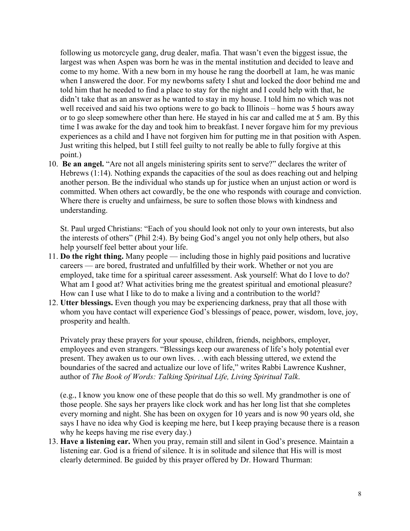following us motorcycle gang, drug dealer, mafia. That wasn't even the biggest issue, the largest was when Aspen was born he was in the mental institution and decided to leave and come to my home. With a new born in my house he rang the doorbell at 1am, he was manic when I answered the door. For my newborns safety I shut and locked the door behind me and told him that he needed to find a place to stay for the night and I could help with that, he didn't take that as an answer as he wanted to stay in my house. I told him no which was not well received and said his two options were to go back to Illinois – home was 5 hours away or to go sleep somewhere other than here. He stayed in his car and called me at 5 am. By this time I was awake for the day and took him to breakfast. I never forgave him for my previous experiences as a child and I have not forgiven him for putting me in that position with Aspen. Just writing this helped, but I still feel guilty to not really be able to fully forgive at this point.)

10. **Be an angel.** "Are not all angels ministering spirits sent to serve?" declares the writer of Hebrews (1:14). Nothing expands the capacities of the soul as does reaching out and helping another person. Be the individual who stands up for justice when an unjust action or word is committed. When others act cowardly, be the one who responds with courage and conviction. Where there is cruelty and unfairness, be sure to soften those blows with kindness and understanding.

St. Paul urged Christians: "Each of you should look not only to your own interests, but also the interests of others" (Phil 2:4). By being God's angel you not only help others, but also help yourself feel better about your life.

- 11. **Do the right thing.** Many people including those in highly paid positions and lucrative careers — are bored, frustrated and unfulfilled by their work. Whether or not you are employed, take time for a spiritual career assessment. Ask yourself: What do I love to do? What am I good at? What activities bring me the greatest spiritual and emotional pleasure? How can I use what I like to do to make a living and a contribution to the world?
- 12. **Utter blessings.** Even though you may be experiencing darkness, pray that all those with whom you have contact will experience God's blessings of peace, power, wisdom, love, joy, prosperity and health.

Privately pray these prayers for your spouse, children, friends, neighbors, employer, employees and even strangers. "Blessings keep our awareness of life's holy potential ever present. They awaken us to our own lives. . .with each blessing uttered, we extend the boundaries of the sacred and actualize our love of life," writes Rabbi Lawrence Kushner, author of *The Book of Words: Talking Spiritual Life, Living Spiritual Talk*.

(e.g., I know you know one of these people that do this so well. My grandmother is one of those people. She says her prayers like clock work and has her long list that she completes every morning and night. She has been on oxygen for 10 years and is now 90 years old, she says I have no idea why God is keeping me here, but I keep praying because there is a reason why he keeps having me rise every day.)

13. **Have a listening ear.** When you pray, remain still and silent in God's presence. Maintain a listening ear. God is a friend of silence. It is in solitude and silence that His will is most clearly determined. Be guided by this prayer offered by Dr. Howard Thurman: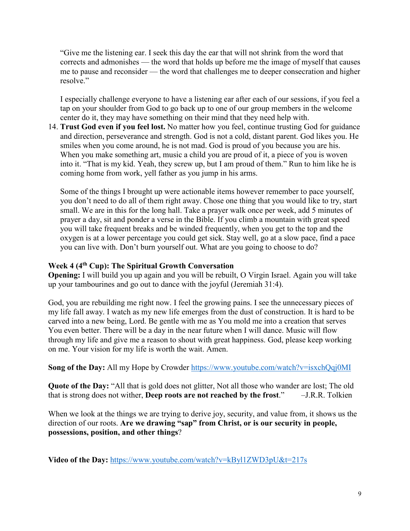"Give me the listening ear. I seek this day the ear that will not shrink from the word that corrects and admonishes — the word that holds up before me the image of myself that causes me to pause and reconsider — the word that challenges me to deeper consecration and higher resolve."

I especially challenge everyone to have a listening ear after each of our sessions, if you feel a tap on your shoulder from God to go back up to one of our group members in the welcome center do it, they may have something on their mind that they need help with.

14. **Trust God even if you feel lost.** No matter how you feel, continue trusting God for guidance and direction, perseverance and strength. God is not a cold, distant parent. God likes you. He smiles when you come around, he is not mad. God is proud of you because you are his. When you make something art, music a child you are proud of it, a piece of you is woven into it. "That is my kid. Yeah, they screw up, but I am proud of them." Run to him like he is coming home from work, yell father as you jump in his arms.

Some of the things I brought up were actionable items however remember to pace yourself, you don't need to do all of them right away. Chose one thing that you would like to try, start small. We are in this for the long hall. Take a prayer walk once per week, add 5 minutes of prayer a day, sit and ponder a verse in the Bible. If you climb a mountain with great speed you will take frequent breaks and be winded frequently, when you get to the top and the oxygen is at a lower percentage you could get sick. Stay well, go at a slow pace, find a pace you can live with. Don't burn yourself out. What are you going to choose to do?

### **Week 4 (4th Cup): The Spiritual Growth Conversation**

**Opening:** I will build you up again and you will be rebuilt, O Virgin Israel. Again you will take up your tambourines and go out to dance with the joyful (Jeremiah 31:4).

God, you are rebuilding me right now. I feel the growing pains. I see the unnecessary pieces of my life fall away. I watch as my new life emerges from the dust of construction. It is hard to be carved into a new being, Lord. Be gentle with me as You mold me into a creation that serves You even better. There will be a day in the near future when I will dance. Music will flow through my life and give me a reason to shout with great happiness. God, please keep working on me. Your vision for my life is worth the wait. Amen.

**Song of the Day:** All my Hope by Crowder<https://www.youtube.com/watch?v=isxchQqj0MI>

**Quote of the Day:** "All that is gold does not glitter, Not all those who wander are lost; The old that is strong does not wither, **Deep roots are not reached by the frost**." –J.R.R. Tolkien

When we look at the things we are trying to derive joy, security, and value from, it shows us the direction of our roots. **Are we drawing "sap" from Christ, or is our security in people, possessions, position, and other things**?

**Video of the Day:** <https://www.youtube.com/watch?v=kByl1ZWD3pU&t=217s>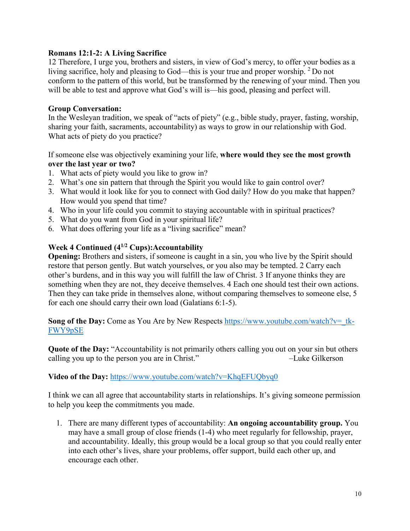#### **Romans 12:1-2: A Living Sacrifice**

12 Therefore, I urge you, brothers and sisters, in view of God's mercy, to offer your bodies as a living sacrifice, holy and pleasing to God—this is your true and proper worship. <sup>2</sup> Do not conform to the pattern of this world, but be transformed by the renewing of your mind. Then you will be able to test and approve what God's will is—his good, pleasing and perfect will.

#### **Group Conversation:**

In the Wesleyan tradition, we speak of "acts of piety" (e.g., bible study, prayer, fasting, worship, sharing your faith, sacraments, accountability) as ways to grow in our relationship with God. What acts of piety do you practice?

If someone else was objectively examining your life, **where would they see the most growth over the last year or two?**

- 1. What acts of piety would you like to grow in?
- 2. What's one sin pattern that through the Spirit you would like to gain control over?
- 3. What would it look like for you to connect with God daily? How do you make that happen? How would you spend that time?
- 4. Who in your life could you commit to staying accountable with in spiritual practices?
- 5. What do you want from God in your spiritual life?
- 6. What does offering your life as a "living sacrifice" mean?

# **Week 4 Continued (41/2 Cups):Accountability**

**Opening:** Brothers and sisters, if someone is caught in a sin, you who live by the Spirit should restore that person gently. But watch yourselves, or you also may be tempted. 2 Carry each other's burdens, and in this way you will fulfill the law of Christ. 3 If anyone thinks they are something when they are not, they deceive themselves. 4 Each one should test their own actions. Then they can take pride in themselves alone, without comparing themselves to someone else, 5 for each one should carry their own load (Galatians 6:1-5).

**Song of the Day:** Come as You Are by New Respects https://www.youtube.com/watch?v= tk-[FWY9pSE](https://www.youtube.com/watch?v=_tk-FWY9pSE)

**Quote of the Day:** "Accountability is not primarily others calling you out on your sin but others calling you up to the person you are in Christ." –Luke Gilkerson

#### **Video of the Day:** <https://www.youtube.com/watch?v=KhqEFUQbyq0>

I think we can all agree that accountability starts in relationships. It's giving someone permission to help you keep the commitments you made.

1. There are many different types of accountability: **An ongoing accountability group.** You may have a small group of close friends (1-4) who meet regularly for fellowship, prayer, and accountability. Ideally, this group would be a local group so that you could really enter into each other's lives, share your problems, offer support, build each other up, and encourage each other.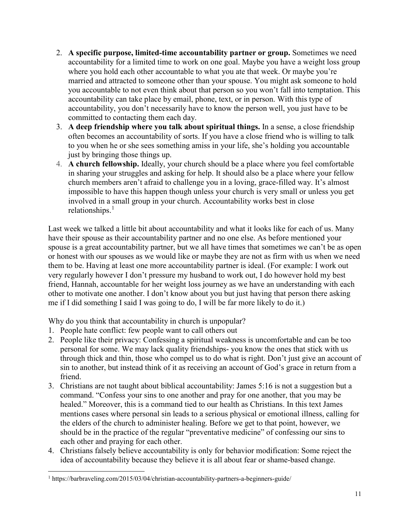- 2. **A specific purpose, limited-time accountability partner or group.** Sometimes we need accountability for a limited time to work on one goal. Maybe you have a weight loss group where you hold each other accountable to what you ate that week. Or maybe you're married and attracted to someone other than your spouse. You might ask someone to hold you accountable to not even think about that person so you won't fall into temptation. This accountability can take place by email, phone, text, or in person. With this type of accountability, you don't necessarily have to know the person well, you just have to be committed to contacting them each day.
- 3. **A deep friendship where you talk about spiritual things.** In a sense, a close friendship often becomes an accountability of sorts. If you have a close friend who is willing to talk to you when he or she sees something amiss in your life, she's holding you accountable just by bringing those things up.
- 4. **A church fellowship.** Ideally, your church should be a place where you feel comfortable in sharing your struggles and asking for help. It should also be a place where your fellow church members aren't afraid to challenge you in a loving, grace-filled way. It's almost impossible to have this happen though unless your church is very small or unless you get involved in a small group in your church. Accountability works best in close relationships.<sup>[1](#page-10-0)</sup>

Last week we talked a little bit about accountability and what it looks like for each of us. Many have their spouse as their accountability partner and no one else. As before mentioned your spouse is a great accountability partner, but we all have times that sometimes we can't be as open or honest with our spouses as we would like or maybe they are not as firm with us when we need them to be. Having at least one more accountability partner is ideal. (For example: I work out very regularly however I don't pressure my husband to work out, I do however hold my best friend, Hannah, accountable for her weight loss journey as we have an understanding with each other to motivate one another. I don't know about you but just having that person there asking me if I did something I said I was going to do, I will be far more likely to do it.)

Why do you think that accountability in church is unpopular?

1. People hate conflict: few people want to call others out

l

- 2. People like their privacy: Confessing a spiritual weakness is uncomfortable and can be too personal for some. We may lack quality friendships- you know the ones that stick with us through thick and thin, those who compel us to do what is right. Don't just give an account of sin to another, but instead think of it as receiving an account of God's grace in return from a friend.
- 3. Christians are not taught about biblical accountability: James 5:16 is not a suggestion but a command. "Confess your sins to one another and pray for one another, that you may be healed." Moreover, this is a command tied to our health as Christians. In this text James mentions cases where personal sin leads to a serious physical or emotional illness, calling for the elders of the church to administer healing. Before we get to that point, however, we should be in the practice of the regular "preventative medicine" of confessing our sins to each other and praying for each other.
- 4. Christians falsely believe accountability is only for behavior modification: Some reject the idea of accountability because they believe it is all about fear or shame-based change.

<span id="page-10-0"></span><sup>1</sup> https://barbraveling.com/2015/03/04/christian-accountability-partners-a-beginners-guide/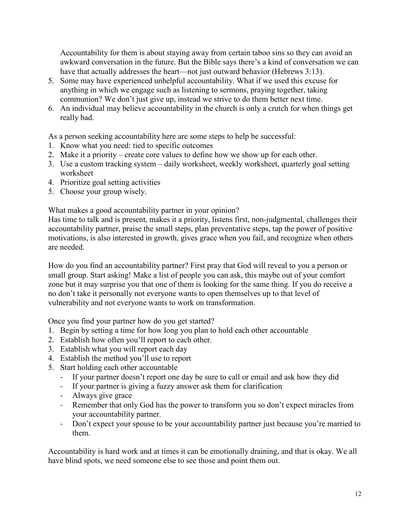Accountability for them is about staying away from certain taboo sins so they can avoid an awkward conversation in the future. But the Bible says there's a kind of conversation we can have that actually addresses the heart—not just outward behavior (Hebrews 3:13).

- 5. Some may have experienced unhelpful accountability. What if we used this excuse for anything in which we engage such as listening to sermons, praying together, taking communion? We don't just give up, instead we strive to do them better next time.
- 6. An individual may believe accountability in the church is only a crutch for when things get really bad.

As a person seeking accountability here are some steps to help be successful:

- 1. Know what you need: tied to specific outcomes
- 2. Make it a priority create core values to define how we show up for each other.
- 3. Use a custom tracking system daily worksheet, weekly worksheet, quarterly goal setting worksheet
- 4. Prioritize goal setting activities
- 5. Choose your group wisely.

What makes a good accountability partner in your opinion?

Has time to talk and is present, makes it a priority, listens first, non-judgmental, challenges their accountability partner, praise the small steps, plan preventative steps, tap the power of positive motivations, is also interested in growth, gives grace when you fail, and recognize when others are needed.

How do you find an accountability partner? First pray that God will reveal to you a person or small group. Start asking! Make a list of people you can ask, this maybe out of your comfort zone but it may surprise you that one of them is looking for the same thing. If you do receive a no don't take it personally not everyone wants to open themselves up to that level of vulnerability and not everyone wants to work on transformation.

Once you find your partner how do you get started?

- 1. Begin by setting a time for how long you plan to hold each other accountable
- 2. Establish how often you'll report to each other.
- 3. Establish what you will report each day
- 4. Establish the method you'll use to report
- 5. Start holding each other accountable
	- If your partner doesn't report one day be sure to call or email and ask how they did
	- If your partner is giving a fuzzy answer ask them for clarification
	- Always give grace
	- Remember that only God has the power to transform you so don't expect miracles from your accountability partner.
	- Don't expect your spouse to be your accountability partner just because you're married to them.

Accountability is hard work and at times it can be emotionally draining, and that is okay. We all have blind spots, we need someone else to see those and point them out.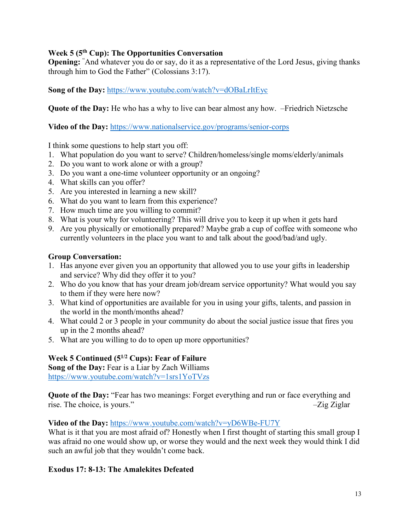# **Week 5 (5th Cup): The Opportunities Conversation**

**Opening:** " And whatever you do or say, do it as a representative of the Lord Jesus, giving thanks through him to God the Father" (Colossians 3:17).

**Song of the Day:** <https://www.youtube.com/watch?v=dOBaLrItEyc>

**Quote of the Day:** He who has a why to live can bear almost any how. –Friedrich Nietzsche

**Video of the Day:** <https://www.nationalservice.gov/programs/senior-corps>

I think some questions to help start you off:

- 1. What population do you want to serve? Children/homeless/single moms/elderly/animals
- 2. Do you want to work alone or with a group?
- 3. Do you want a one-time volunteer opportunity or an ongoing?
- 4. What skills can you offer?
- 5. Are you interested in learning a new skill?
- 6. What do you want to learn from this experience?
- 7. How much time are you willing to commit?
- 8. What is your why for volunteering? This will drive you to keep it up when it gets hard
- 9. Are you physically or emotionally prepared? Maybe grab a cup of coffee with someone who currently volunteers in the place you want to and talk about the good/bad/and ugly.

# **Group Conversation:**

- 1. Has anyone ever given you an opportunity that allowed you to use your gifts in leadership and service? Why did they offer it to you?
- 2. Who do you know that has your dream job/dream service opportunity? What would you say to them if they were here now?
- 3. What kind of opportunities are available for you in using your gifts, talents, and passion in the world in the month/months ahead?
- 4. What could 2 or 3 people in your community do about the social justice issue that fires you up in the 2 months ahead?
- 5. What are you willing to do to open up more opportunities?

# **Week 5 Continued (51/2 Cups): Fear of Failure**

**Song of the Day:** Fear is a Liar by Zach Williams <https://www.youtube.com/watch?v=1srs1YoTVzs>

**Quote of the Day:** "Fear has two meanings: Forget everything and run or face everything and rise. The choice, is yours." –  $\overline{Z}$ ig Ziglar

**Video of the Day:** <https://www.youtube.com/watch?v=yD6WBe-FU7Y>

What is it that you are most afraid of? Honestly when I first thought of starting this small group I was afraid no one would show up, or worse they would and the next week they would think I did such an awful job that they wouldn't come back.

# **Exodus 17: 8-13: The Amalekites Defeated**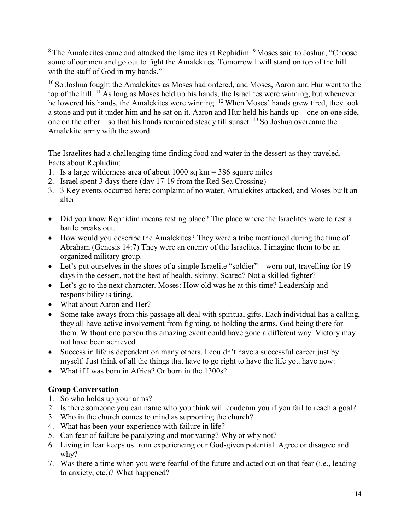<sup>8</sup> The Amalekites came and attacked the Israelites at Rephidim. <sup>9</sup> Moses said to Joshua, "Choose some of our men and go out to fight the Amalekites. Tomorrow I will stand on top of the hill with the staff of God in my hands."

<sup>10</sup> So Joshua fought the Amalekites as Moses had ordered, and Moses, Aaron and Hur went to the top of the hill. <sup>11</sup> As long as Moses held up his hands, the Israelites were winning, but whenever he lowered his hands, the Amalekites were winning. <sup>12</sup> When Moses' hands grew tired, they took a stone and put it under him and he sat on it. Aaron and Hur held his hands up—one on one side, one on the other—so that his hands remained steady till sunset. <sup>13</sup> So Joshua overcame the Amalekite army with the sword.

The Israelites had a challenging time finding food and water in the dessert as they traveled. Facts about Rephidim:

- 1. Is a large wilderness area of about 1000 sq km = 386 square miles
- 2. Israel spent 3 days there (day 17-19 from the Red Sea Crossing)
- 3. 3 Key events occurred here: complaint of no water, Amalekites attacked, and Moses built an alter
- Did you know Rephidim means resting place? The place where the Israelites were to rest a battle breaks out.
- How would you describe the Amalekites? They were a tribe mentioned during the time of Abraham (Genesis 14:7) They were an enemy of the Israelites. I imagine them to be an organized military group.
- Let's put ourselves in the shoes of a simple Israelite "soldier" worn out, travelling for 19 days in the dessert, not the best of health, skinny. Scared? Not a skilled fighter?
- Let's go to the next character. Moses: How old was he at this time? Leadership and responsibility is tiring.
- What about Aaron and Her?
- Some take-aways from this passage all deal with spiritual gifts. Each individual has a calling, they all have active involvement from fighting, to holding the arms, God being there for them. Without one person this amazing event could have gone a different way. Victory may not have been achieved.
- Success in life is dependent on many others, I couldn't have a successful career just by myself. Just think of all the things that have to go right to have the life you have now:
- What if I was born in Africa? Or born in the 1300s?

- 1. So who holds up your arms?
- 2. Is there someone you can name who you think will condemn you if you fail to reach a goal?
- 3. Who in the church comes to mind as supporting the church?
- 4. What has been your experience with failure in life?
- 5. Can fear of failure be paralyzing and motivating? Why or why not?
- 6. Living in fear keeps us from experiencing our God-given potential. Agree or disagree and why?
- 7. Was there a time when you were fearful of the future and acted out on that fear (i.e., leading to anxiety, etc.)? What happened?